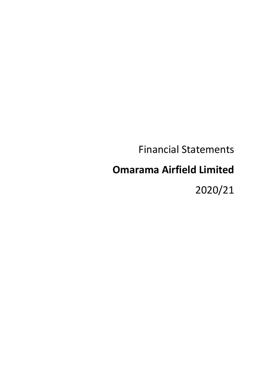# Financial Statements

# **Omarama Airfield Limited**

2020/21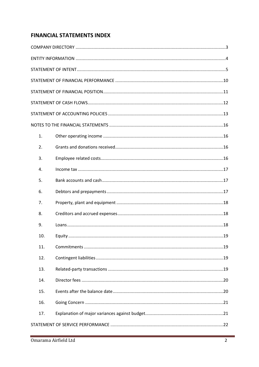# **FINANCIAL STATEMENTS INDEX**

| 1.  |  |
|-----|--|
| 2.  |  |
| 3.  |  |
| 4.  |  |
| 5.  |  |
| 6.  |  |
| 7.  |  |
| 8.  |  |
| 9.  |  |
| 10. |  |
| 11. |  |
| 12. |  |
| 13. |  |
| 14. |  |
| 15. |  |
| 16. |  |
| 17. |  |
|     |  |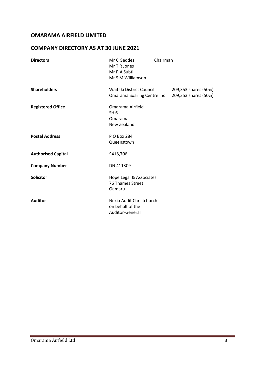# **COMPANY DIRECTORY AS AT 30 JUNE 2021**

| <b>Directors</b>          | Mr C Geddes<br>Mr T R Jones<br>Mr R A Subtil<br>Mr S M Williamson | Chairman |                                              |
|---------------------------|-------------------------------------------------------------------|----------|----------------------------------------------|
| <b>Shareholders</b>       | Waitaki District Council<br>Omarama Soaring Centre Inc            |          | 209,353 shares (50%)<br>209,353 shares (50%) |
| <b>Registered Office</b>  | Omarama Airfield<br>SH <sub>6</sub><br>Omarama<br>New Zealand     |          |                                              |
| <b>Postal Address</b>     | P O Box 284<br>Queenstown                                         |          |                                              |
| <b>Authorised Capital</b> | \$418,706                                                         |          |                                              |
| <b>Company Number</b>     | DN 411309                                                         |          |                                              |
| <b>Solicitor</b>          | Hope Legal & Associates<br>76 Thames Street<br>Oamaru             |          |                                              |
| <b>Auditor</b>            | Nexia Audit Christchurch<br>on behalf of the<br>Auditor-General   |          |                                              |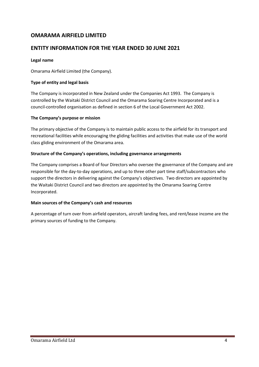# **ENTITY INFORMATION FOR THE YEAR ENDED 30 JUNE 2021**

### **Legal name**

Omarama Airfield Limited (the Company).

### **Type of entity and legal basis**

The Company is incorporated in New Zealand under the Companies Act 1993. The Company is controlled by the Waitaki District Council and the Omarama Soaring Centre Incorporated and is a council-controlled organisation as defined in section 6 of the Local Government Act 2002.

#### **The Company's purpose or mission**

The primary objective of the Company is to maintain public access to the airfield for its transport and recreational facilities while encouraging the gliding facilities and activities that make use of the world class gliding environment of the Omarama area.

### **Structure of the Company's operations, including governance arrangements**

The Company comprises a Board of four Directors who oversee the governance of the Company and are responsible for the day-to-day operations, and up to three other part time staff/subcontractors who support the directors in delivering against the Company's objectives. Two directors are appointed by the Waitaki District Council and two directors are appointed by the Omarama Soaring Centre Incorporated.

#### **Main sources of the Company's cash and resources**

A percentage of turn over from airfield operators, aircraft landing fees, and rent/lease income are the primary sources of funding to the Company.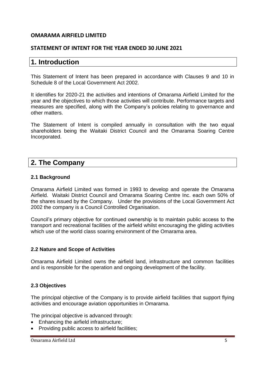### **STATEMENT OF INTENT FOR THE YEAR ENDED 30 JUNE 2021**

# **1. Introduction**

This Statement of Intent has been prepared in accordance with Clauses 9 and 10 in Schedule 8 of the Local Government Act 2002.

It identifies for 2020-21 the activities and intentions of Omarama Airfield Limited for the year and the objectives to which those activities will contribute. Performance targets and measures are specified, along with the Company's policies relating to governance and other matters.

The Statement of Intent is compiled annually in consultation with the two equal shareholders being the Waitaki District Council and the Omarama Soaring Centre Incorporated.

# **2. The Company**

### **2.1 Background**

Omarama Airfield Limited was formed in 1993 to develop and operate the Omarama Airfield. Waitaki District Council and Omarama Soaring Centre Inc. each own 50% of the shares issued by the Company. Under the provisions of the Local Government Act 2002 the company is a Council Controlled Organisation.

Council's primary objective for continued ownership is to maintain public access to the transport and recreational facilities of the airfield whilst encouraging the gliding activities which use of the world class soaring environment of the Omarama area.

### **2.2 Nature and Scope of Activities**

Omarama Airfield Limited owns the airfield land, infrastructure and common facilities and is responsible for the operation and ongoing development of the facility.

### **2.3 Objectives**

The principal objective of the Company is to provide airfield facilities that support flying activities and encourage aviation opportunities in Omarama.

The principal objective is advanced through:

- Enhancing the airfield infrastructure;
- Providing public access to airfield facilities: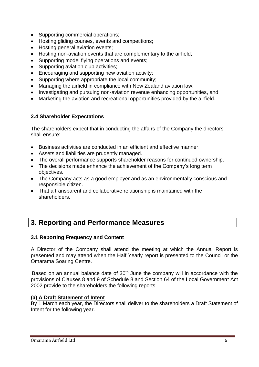- Supporting commercial operations;
- Hosting gliding courses, events and competitions;
- Hosting general aviation events;
- Hosting non-aviation events that are complementary to the airfield;
- Supporting model flying operations and events;
- Supporting aviation club activities;
- Encouraging and supporting new aviation activity;
- Supporting where appropriate the local community;
- Managing the airfield in compliance with New Zealand aviation law;
- Investigating and pursuing non-aviation revenue enhancing opportunities, and
- Marketing the aviation and recreational opportunities provided by the airfield.

# **2.4 Shareholder Expectations**

The shareholders expect that in conducting the affairs of the Company the directors shall ensure:

- Business activities are conducted in an efficient and effective manner.
- Assets and liabilities are prudently managed.
- The overall performance supports shareholder reasons for continued ownership.
- The decisions made enhance the achievement of the Company's long term objectives.
- The Company acts as a good employer and as an environmentally conscious and responsible citizen.
- That a transparent and collaborative relationship is maintained with the shareholders.

# **3. Reporting and Performance Measures**

# **3.1 Reporting Frequency and Content**

A Director of the Company shall attend the meeting at which the Annual Report is presented and may attend when the Half Yearly report is presented to the Council or the Omarama Soaring Centre.

Based on an annual balance date of 30<sup>th</sup> June the company will in accordance with the provisions of Clauses 8 and 9 of Schedule 8 and Section 64 of the Local Government Act 2002 provide to the shareholders the following reports:

# **(a) A Draft Statement of Intent**

By 1 March each year, the Directors shall deliver to the shareholders a Draft Statement of Intent for the following year.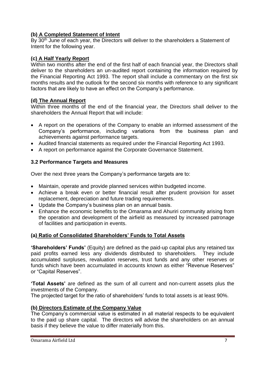# **(b) A Completed Statement of Intent**

By 30<sup>th</sup> June of each year, the Directors will deliver to the shareholders a Statement of Intent for the following year.

### **(c) A Half Yearly Report**

Within two months after the end of the first half of each financial year, the Directors shall deliver to the shareholders an un-audited report containing the information required by the Financial Reporting Act 1993. The report shall include a commentary on the first six months results and the outlook for the second six months with reference to any significant factors that are likely to have an effect on the Company's performance.

### **(d) The Annual Report**

Within three months of the end of the financial year, the Directors shall deliver to the shareholders the Annual Report that will include:

- A report on the operations of the Company to enable an informed assessment of the Company's performance, including variations from the business plan and achievements against performance targets.
- Audited financial statements as required under the Financial Reporting Act 1993.
- A report on performance against the Corporate Governance Statement.

### **3.2 Performance Targets and Measures**

Over the next three years the Company's performance targets are to:

- Maintain, operate and provide planned services within budgeted income.
- Achieve a break even or better financial result after prudent provision for asset replacement, depreciation and future trading requirements.
- Update the Company's business plan on an annual basis.
- Enhance the economic benefits to the Omarama and Ahuriri community arising from the operation and development of the airfield as measured by increased patronage of facilities and participation in events.

# **(a) Ratio of Consolidated Shareholders' Funds to Total Assets**

**'Shareholders' Funds'** (Equity) are defined as the paid-up capital plus any retained tax paid profits earned less any dividends distributed to shareholders. They include accumulated surpluses, revaluation reserves, trust funds and any other reserves or funds which have been accumulated in accounts known as either "Revenue Reserves" or "Capital Reserves".

**'Total Assets'** are defined as the sum of all current and non-current assets plus the investments of the Company.

The projected target for the ratio of shareholders' funds to total assets is at least 90%.

### **(b) Directors Estimate of the Company Value**

The Company's commercial value is estimated in all material respects to be equivalent to the paid up share capital. The directors will advise the shareholders on an annual basis if they believe the value to differ materially from this.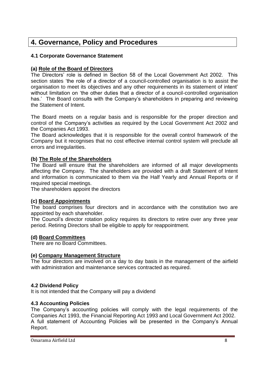# **4. Governance, Policy and Procedures**

# **4.1 Corporate Governance Statement**

# **(a) Role of the Board of Directors**

The Directors' role is defined in Section 58 of the Local Government Act 2002. This section states 'the role of a director of a council-controlled organisation is to assist the organisation to meet its objectives and any other requirements in its statement of intent' without limitation on 'the other duties that a director of a council-controlled organisation has.' The Board consults with the Company's shareholders in preparing and reviewing the Statement of Intent.

The Board meets on a regular basis and is responsible for the proper direction and control of the Company's activities as required by the Local Government Act 2002 and the Companies Act 1993.

The Board acknowledges that it is responsible for the overall control framework of the Company but it recognises that no cost effective internal control system will preclude all errors and irregularities.

### **(b) The Role of the Shareholders**

The Board will ensure that the shareholders are informed of all major developments affecting the Company. The shareholders are provided with a draft Statement of Intent and information is communicated to them via the Half Yearly and Annual Reports or if required special meetings.

The shareholders appoint the directors

### **(c) Board Appointments**

The board comprises four directors and in accordance with the constitution two are appointed by each shareholder.

The Council's director rotation policy requires its directors to retire over any three year period. Retiring Directors shall be eligible to apply for reappointment.

### **(d) Board Committees**

There are no Board Committees.

### **(e) Company Management Structure**

The four directors are involved on a day to day basis in the management of the airfield with administration and maintenance services contracted as required.

### **4.2 Dividend Policy**

It is not intended that the Company will pay a dividend

### **4.3 Accounting Policies**

The Company's accounting policies will comply with the legal requirements of the Companies Act 1993, the Financial Reporting Act 1993 and Local Government Act 2002. A full statement of Accounting Policies will be presented in the Company's Annual Report.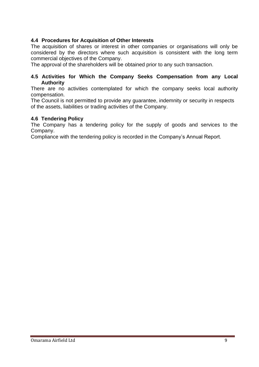### **4.4 Procedures for Acquisition of Other Interests**

The acquisition of shares or interest in other companies or organisations will only be considered by the directors where such acquisition is consistent with the long term commercial objectives of the Company.

The approval of the shareholders will be obtained prior to any such transaction.

### **4.5 Activities for Which the Company Seeks Compensation from any Local Authority**

There are no activities contemplated for which the company seeks local authority compensation.

The Council is not permitted to provide any guarantee, indemnity or security in respects of the assets, liabilities or trading activities of the Company.

### **4.6 Tendering Policy**

The Company has a tendering policy for the supply of goods and services to the Company.

Compliance with the tendering policy is recorded in the Company's Annual Report.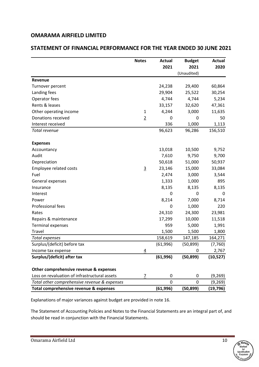### **STATEMENT OF FINANCIAL PERFORMANCE FOR THE YEAR ENDED 30 JUNE 2021**

|                                               | <b>Notes</b>   | <b>Actual</b> | <b>Budget</b> | <b>Actual</b> |
|-----------------------------------------------|----------------|---------------|---------------|---------------|
|                                               |                | 2021          | 2021          | 2020          |
|                                               |                |               | (Unaudited)   |               |
| Revenue                                       |                |               |               |               |
| Turnover percent                              |                | 24,238        | 29,400        | 60,864        |
| Landing fees                                  |                | 29,904        | 25,522        | 30,254        |
| Operator fees                                 |                | 4,744         | 4,744         | 5,234         |
| Rents & leases                                |                | 33,157        | 32,620        | 47,361        |
| Other operating income                        | $\mathbf{1}$   | 4,244         | 3,000         | 11,635        |
| Donations received                            | $\overline{2}$ | 0             | 0             | 50            |
| Interest received                             |                | 336           | 1,000         | 1,113         |
| Total revenue                                 |                | 96,623        | 96,286        | 156,510       |
| <b>Expenses</b>                               |                |               |               |               |
| Accountancy                                   |                | 13,018        | 10,500        | 9,752         |
| Audit                                         |                | 7,610         | 9,750         | 9,700         |
| Depreciation                                  |                | 50,618        | 51,000        | 50,937        |
| <b>Employee related costs</b>                 | $\overline{3}$ | 23,146        | 15,000        | 33,084        |
| Fuel                                          |                | 2,474         | 3,000         | 3,544         |
| General expenses                              |                | 1,333         | 1,000         | 895           |
| Insurance                                     |                | 8,135         | 8,135         | 8,135         |
| Interest                                      |                | 0             | 0             | 0             |
| Power                                         |                | 8,214         | 7,000         | 8,714         |
| Professional fees                             |                | 0             | 1,000         | 220           |
| Rates                                         |                | 24,310        | 24,300        | 23,981        |
| Repairs & maintenance                         |                | 17,299        | 10,000        | 11,518        |
| <b>Terminal expenses</b>                      |                | 959           | 5,000         | 1,991         |
| Travel                                        |                | 1,500         | 1,500         | 1,800         |
| <b>Total expenses</b>                         |                | 158,619       | 147,185       | 164,271       |
| Surplus/(deficit) before tax                  |                | (61, 996)     | (50, 899)     | (7, 760)      |
| Income tax expense                            | 4              |               | <sup>0</sup>  | 2,767         |
| Surplus/(deficit) after tax                   |                | (61, 996)     | (50, 899)     | (10, 527)     |
| Other comprehensive revenue & expenses        |                |               |               |               |
| Loss on revaluation of infrastructural assets | 7              | 0             | 0             | (9, 269)      |
| Total other comprehensive revenue & expenses  |                | 0             | 0             | (9, 269)      |
| Total comprehensive revenue & expenses        |                | (61, 996)     | (50, 899)     | (19, 796)     |

Explanations of major variances against budget are provided in note 16.

The Statement of Accounting Policies and Notes to the Financial Statements are an integral part of, and should be read in conjunction with the Financial Statements.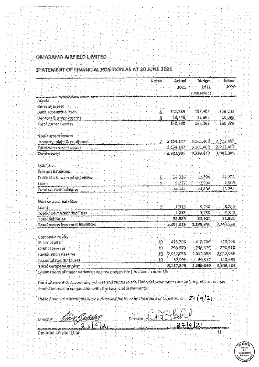#### STATEMENT OF FINANCIAL POSITION AS AT 30 JUNE 2021

|                                     | Notes        | Actual<br>2021 | Budget<br>2021<br>(Unaudited) | Actual<br>2020 |
|-------------------------------------|--------------|----------------|-------------------------------|----------------|
| Assets                              |              |                |                               |                |
| <b>Current assets</b>               |              |                |                               |                |
| Bank accounts & cash                | Ä.           | 145.289        | 156,404                       | 158,803        |
| Debtors & prepayments               | Ġ.           | 13,449         | 11,562                        | 10,095         |
| Total current assets                |              | 158,738        | 168,066                       | 168,898        |
| Non-current assets                  |              |                |                               |                |
| Property, plant & equipment         | ¥            | 3,164,147      | 3,161,407                     | 3,212,407      |
| Total non-current assets            |              | 3.164.147      | 3,161,407                     | 3,212,407      |
| Total assets                        |              | 3.322,885      | 3,329,473                     | 3,381,305      |
| <b>Liabilities</b>                  |              |                |                               |                |
| <b>Current liabilities</b>          |              |                |                               |                |
| Creditors & accrued expenses        | Š.           | 24,826         | 22,398                        | 21, 25.1.      |
| Loans                               | Ş            | 9,717          | 2.500                         | 2,500          |
| Total current irabilities           |              | 34,543         | 24,898.                       | 23,751         |
| Non-current liabilites              |              |                |                               |                |
| Loans                               | $\mathbf{2}$ | 1,013          | 5,730                         | 8,230          |
| Total non-current (labilities       |              | 1.013          | 5,730                         | 8,230          |
| <b>Total liabilities</b>            |              | 35,556         | 30,627                        | 31,981         |
| Total assets less total liabilities |              | 3,287,329      | 3,298,846                     | 3,349,324      |
| Company equity                      |              |                |                               |                |
| Share capital                       | 10.          | 418,706        | 418,706                       | 418,706        |
| Capital reserve                     | 10           | 798,570        | 798,570                       | 798,570        |
| <b>Revaluation Reserve</b>          | 10           | 2,012,058      | 2,012,058                     | 2,012,058      |
| Accumulated surpluses               | 18           | 57,996         | 69,512                        | 119,991        |
| Total company equity                |              | 3,287,329      | 3,198,846                     | 3,349,324      |

Explanations of major variances against budget are provided in note 16.

The Statement of Accounting Policies and Notes to the Financial Statements are an Integral part of, and should be read in conjunction with the Financial Statements.

These financial statements were authorised for issue by the Board of Directors on  $23(912)$ 

Director fdreitin  $2792$  $27|9|2|$ 

.<br>Omarama Altfleld Ltd



11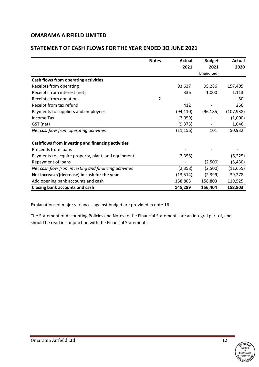|                                                       | <b>Notes</b>   | Actual    | <b>Budget</b> | Actual     |
|-------------------------------------------------------|----------------|-----------|---------------|------------|
|                                                       |                | 2021      | 2021          | 2020       |
|                                                       |                |           | (Unaudited)   |            |
| Cash flows from operating activities                  |                |           |               |            |
| Receipts from operating                               |                | 93,637    | 95,286        | 157,405    |
| Receipts from interest (net)                          |                | 336       | 1,000         | 1,113      |
| Receipts from donations                               | $\overline{2}$ |           |               | 50         |
| Receipt from tax refund                               |                | 412       |               | 256        |
| Payments to suppliers and employees                   |                | (94, 110) | (96, 185)     | (107, 938) |
| <b>Income Tax</b>                                     |                | (2,059)   |               | (1,000)    |
| GST (net)                                             |                | (9, 373)  |               | 1,046      |
| Net cashflow from operating activities                |                | (11, 156) | 101           | 50,932     |
|                                                       |                |           |               |            |
| Cashflows from investing and financing activities     |                |           |               |            |
| Proceeds from loans                                   |                |           |               |            |
| Payments to acquire property, plant, and equipment    |                | (2,358)   |               | (6, 225)   |
| Repayment of loans                                    |                |           | (2,500)       | (5, 430)   |
| Net cash flow from investing and financing activities |                | (2,358)   | (2,500)       | (11, 655)  |
| Net increase/(decrease) in cash for the year          |                | (13, 514) | (2,399)       | 39,278     |
| Add opening bank accounts and cash                    |                | 158,803   | 158,803       | 119,525    |
| <b>Closing bank accounts and cash</b>                 |                | 145,289   | 156,404       | 158,803    |

### **STATEMENT OF CASH FLOWS FOR THE YEAR ENDED 3O JUNE 2021**

Explanations of major variances against budget are provided in note 16.

The Statement of Accounting Policies and Notes to the Financial Statements are an integral part of, and should be read in conjunction with the Financial Statements.

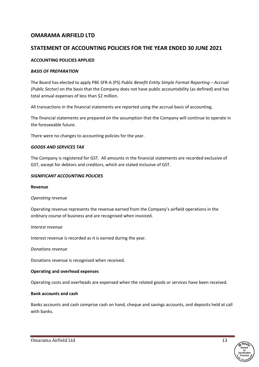# **STATEMENT OF ACCOUNTING POLICIES FOR THE YEAR ENDED 30 JUNE 2021**

### **ACCOUNTING POLICIES APPLIED**

#### *BASIS OF PREPARATION*

The Board has elected to apply PBE SFR-A (PS) *Public Benefit Entity Simple Format Reporting – Accrual (Public Sector)* on the basis that the Company does not have public accountability (as defined) and has total annual expenses of less than \$2 million.

All transactions in the financial statements are reported using the accrual basis of accounting.

The financial statements are prepared on the assumption that the Company will continue to operate in the foreseeable future.

There were no changes to accounting policies for the year.

#### *GOODS AND SERVICES TAX*

The Company is registered for GST. All amounts in the financial statements are recorded exclusive of GST, except for debtors and creditors, which are stated inclusive of GST.

#### *SIGNIFICANT ACCOUNTING POLICIES*

#### **Revenue**

#### *Operating revenue*

Operating revenue represents the revenue earned from the Company's airfield operations in the ordinary course of business and are recognised when invoiced.

#### *Interest revenue*

Interest revenue is recorded as it is earned during the year.

#### *Donations revenue*

Donations revenue is recognised when received.

#### **Operating and overhead expenses**

Operating costs and overheads are expensed when the related goods or services have been received.

#### **Bank accounts and cash**

Banks accounts and cash comprise cash on hand, cheque and savings accounts, and deposits held at call with banks.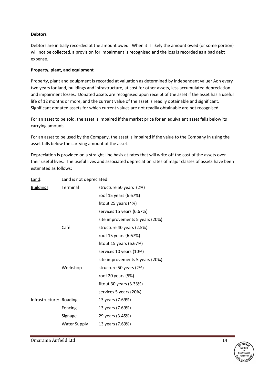#### **Debtors**

Debtors are initially recorded at the amount owed. When it is likely the amount owed (or some portion) will not be collected, a provision for impairment is recognised and the loss is recorded as a bad debt expense.

#### **Property, plant, and equipment**

Property, plant and equipment is recorded at valuation as determined by independent valuer Aon every two years for land, buildings and infrastructure, at cost for other assets, less accumulated depreciation and impairment losses. Donated assets are recognised upon receipt of the asset if the asset has a useful life of 12 months or more, and the current value of the asset is readily obtainable and significant. Significant donated assets for which current values are not readily obtainable are not recognised.

For an asset to be sold, the asset is impaired if the market price for an equivalent asset falls below its carrying amount.

For an asset to be used by the Company, the asset is impaired if the value to the Company in using the asset falls below the carrying amount of the asset.

Depreciation is provided on a straight-line basis at rates that will write off the cost of the assets over their useful lives. The useful lives and associated depreciation rates of major classes of assets have been estimated as follows:

| Land:                   | Land is not depreciated. |                                 |
|-------------------------|--------------------------|---------------------------------|
| Buildings:              | <b>Terminal</b>          | structure 50 years (2%)         |
|                         |                          | roof 15 years (6.67%)           |
|                         |                          | fitout 25 years $(4%)$          |
|                         |                          | services 15 years (6.67%)       |
|                         |                          | site improvements 5 years (20%) |
|                         | Café                     | structure 40 years (2.5%)       |
|                         |                          | roof 15 years (6.67%)           |
|                         |                          | fitout 15 years (6.67%)         |
|                         |                          | services 10 years (10%)         |
|                         |                          | site improvements 5 years (20%) |
|                         | Workshop                 | structure 50 years (2%)         |
|                         |                          | roof 20 years (5%)              |
|                         |                          | fitout 30 years (3.33%)         |
|                         |                          | services 5 years (20%)          |
| Infrastructure: Roading |                          | 13 years (7.69%)                |
|                         | Fencing                  | 13 years (7.69%)                |
|                         | Signage                  | 29 years (3.45%)                |
|                         | Water Supply             | 13 years (7.69%)                |

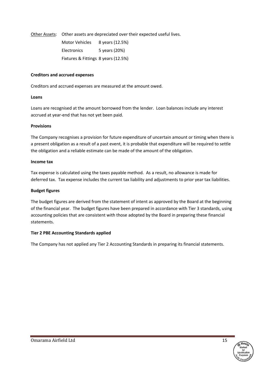Other Assets: Other assets are depreciated over their expected useful lives.

| <b>Motor Vehicles</b>               | 8 years (12.5%) |
|-------------------------------------|-----------------|
| <b>Electronics</b>                  | 5 years (20%)   |
| Fixtures & Fittings 8 years (12.5%) |                 |

#### **Creditors and accrued expenses**

Creditors and accrued expenses are measured at the amount owed.

#### **Loans**

Loans are recognised at the amount borrowed from the lender. Loan balances include any interest accrued at year-end that has not yet been paid.

#### **Provisions**

The Company recognises a provision for future expenditure of uncertain amount or timing when there is a present obligation as a result of a past event, it is probable that expenditure will be required to settle the obligation and a reliable estimate can be made of the amount of the obligation.

#### **Income tax**

Tax expense is calculated using the taxes payable method. As a result, no allowance is made for deferred tax. Tax expense includes the current tax liability and adjustments to prior year tax liabilities.

#### **Budget figures**

The budget figures are derived from the statement of intent as approved by the Board at the beginning of the financial year. The budget figures have been prepared in accordance with Tier 3 standards, using accounting policies that are consistent with those adopted by the Board in preparing these financial statements.

#### **Tier 2 PBE Accounting Standards applied**

The Company has not applied any Tier 2 Accounting Standards in preparing its financial statements.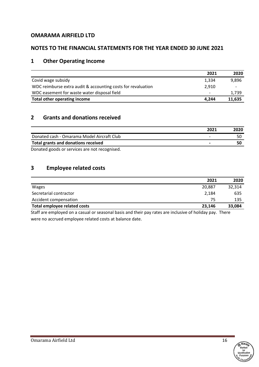### **NOTES TO THE FINANCIAL STATEMENTS FOR THE YEAR ENDED 30 JUNE 2021**

# **1 Other Operating Income**

|                                                              | 2021                     | 2020   |
|--------------------------------------------------------------|--------------------------|--------|
| Covid wage subsidy                                           | 1,334                    | 9,896  |
| WDC reimburse extra audit & accounting costs for revaluation | 2.910                    | ٠      |
| WDC easement for waste water disposal field                  | $\overline{\phantom{a}}$ | 1,739  |
| Total other operating income                                 | 4.244                    | 11,635 |

### **2 Grants and donations received**

|                                              | 2021                     | 2020 |
|----------------------------------------------|--------------------------|------|
| Donated cash - Omarama Model Aircraft Club   | $\overline{\phantom{0}}$ |      |
| Total grants and donations received          |                          |      |
| Donatod goods or senvices are not researised |                          |      |

Donated goods or services are not recognised.

# **3 Employee related costs**

|                                     | 2021   | 2020   |
|-------------------------------------|--------|--------|
| <b>Wages</b>                        | 20.887 | 32,314 |
| Secretarial contractor              | 2,184  | 635    |
| Accident compensation               | 75     | 135    |
| <b>Total employee related costs</b> | 23.146 | 33,084 |

Staff are employed on a casual or seasonal basis and their pay rates are inclusive of holiday pay. There were no accrued employee related costs at balance date.

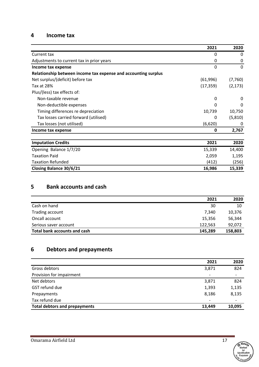### **4 Income tax**

|                                                                | 2021      | 2020     |
|----------------------------------------------------------------|-----------|----------|
| Current tax                                                    | 0         | 0        |
| Adjustments to current tax in prior years                      | 0         | 0        |
| Income tax expense                                             | 0         | $\Omega$ |
| Relationship between income tax expense and accounting surplus |           |          |
| Net surplus/(deficit) before tax                               | (61, 996) | (7,760)  |
| Tax at 28%                                                     | (17, 359) | (2, 173) |
| Plus/(less) tax effects of:                                    |           |          |
| Non-taxable revenue                                            | 0         | 0        |
| Non-deductible expenses                                        | 0         | 0        |
| Timing differences re depreciation                             | 10,739    | 10,750   |
| Tax losses carried forward (utilised)                          | 0         | (5, 810) |
| Tax losses (not utilised)                                      | (6,620)   | 0        |
| Income tax expense                                             | 0         | 2,767    |
| <b>Imputation Credits</b>                                      | 2021      | 2020     |
| Opening Balance 1/7/20                                         | 15,339    | 14,400   |
| <b>Taxation Paid</b>                                           | 2,059     | 1,195    |
| <b>Taxation Refunded</b>                                       | (412)     | (256)    |
| <b>Closing Balance 30/6/21</b>                                 | 16,986    | 15,339   |

# **5 Bank accounts and cash**

|                              | 2021    | 2020    |
|------------------------------|---------|---------|
| Cash on hand                 | 30      | 10      |
| Trading account              | 7,340   | 10,376  |
| Oncall account               | 15,356  | 56,344  |
| Serious saver account        | 122,563 | 92,072  |
| Total bank accounts and cash | 145,289 | 158,803 |

# **6 Debtors and prepayments**

|                                      | 2021                     | 2020                     |
|--------------------------------------|--------------------------|--------------------------|
| Gross debtors                        | 3,871                    | 824                      |
| Provision for impairment             | $\overline{\phantom{a}}$ | $\overline{\phantom{a}}$ |
| Net debtors                          | 3,871                    | 824                      |
| GST refund due                       | 1,393                    | 1,135                    |
| Prepayments                          | 8,186                    | 8,135                    |
| Tax refund due                       | $\overline{\phantom{a}}$ | $\overline{\phantom{a}}$ |
| <b>Total debtors and prepayments</b> | 13,449                   | 10,095                   |



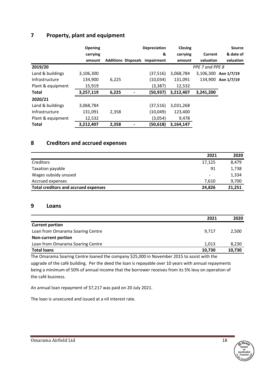# **7 Property, plant and equipment**

|                   | <b>Opening</b> |       | <b>Depreciation</b>                   | <b>Closing</b> |                 | <b>Source</b>        |
|-------------------|----------------|-------|---------------------------------------|----------------|-----------------|----------------------|
|                   | carrying       |       | &                                     | carrying       | Current         | & date of            |
|                   | amount         |       | <b>Additions Disposals impairment</b> | amount         | valuation       | valuation            |
| 2019/20           |                |       |                                       |                | PPE 7 and PPE 8 |                      |
| Land & buildings  | 3,106,300      |       | (37,516)                              | 3,068,784      |                 | 3,106,300 Aon 1/7/19 |
| Infrastructure    | 134,900        | 6,225 | (10, 034)                             | 131,091        |                 | 134,900 Aon 1/7/19   |
| Plant & equipment | 15,919         |       | (3, 387)                              | 12,532         |                 |                      |
| <b>Total</b>      | 3,257,119      | 6,225 | (50,937)                              | 3,212,407      | 3,241,200       |                      |
| 2020/21           |                |       |                                       |                |                 |                      |
| Land & buildings  | 3,068,784      |       | (37,516)                              | 3,031,268      |                 |                      |
| Infrastructure    | 131,091        | 2,358 | (10,049)                              | 123,400        |                 |                      |
| Plant & equipment | 12,532         |       | (3,054)                               | 9,478          |                 |                      |
| <b>Total</b>      | 3,212,407      | 2,358 | (50,618)                              | 3,164,147      |                 |                      |

# **8 Creditors and accrued expenses**

|                                             | 2021                     | 2020   |
|---------------------------------------------|--------------------------|--------|
| Creditors                                   | 17,125                   | 8,479  |
| Taxation payable                            | 91                       | 1,738  |
| Wages subsidy unused                        | $\overline{\phantom{a}}$ | 1,334  |
| Accrued expenses                            | 7.610                    | 9,700  |
| <b>Total creditors and accrued expenses</b> | 24,826                   | 21.251 |

### **9 Loans**

|                                  | 2021   | 2020   |
|----------------------------------|--------|--------|
| <b>Current portion</b>           |        |        |
| Loan from Omarama Soaring Centre | 9,717  | 2,500  |
| <b>Non-current portion</b>       |        |        |
| Loan from Omarama Soaring Centre | 1.013  | 8,230  |
| <b>Total loans</b>               | 10,730 | 10,730 |

The Omarama Soaring Centre loaned the company \$25,000 in November 2015 to assist with the upgrade of the café building. Per the deed the loan is repayable over 10 years with annual repayments being a minimum of 50% of annual income that the borrower receives from its 5% levy on operation of the café business.

An annual loan repayment of \$7,217 was paid on 20 July 2021.

The loan is unsecured and issued at a nil interest rate.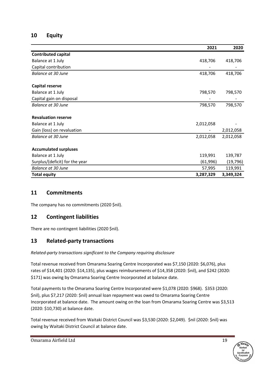# **10 Equity**

|                                | 2021      | 2020      |
|--------------------------------|-----------|-----------|
| <b>Contributed capital</b>     |           |           |
| Balance at 1 July              | 418,706   | 418,706   |
| Capital contribution           |           |           |
| <b>Balance at 30 June</b>      | 418,706   | 418,706   |
|                                |           |           |
| <b>Capital reserve</b>         |           |           |
| Balance at 1 July              | 798,570   | 798,570   |
| Capital gain on disposal       |           |           |
| <b>Balance at 30 June</b>      | 798,570   | 798,570   |
|                                |           |           |
| <b>Revaluation reserve</b>     |           |           |
| Balance at 1 July              | 2,012,058 |           |
| Gain (loss) on revaluation     |           | 2,012,058 |
| Balance at 30 June             | 2,012,058 | 2,012,058 |
|                                |           |           |
| <b>Accumulated surpluses</b>   |           |           |
| Balance at 1 July              | 119,991   | 139,787   |
| Surplus/(deficit) for the year | (61, 996) | (19, 796) |
| <b>Balance at 30 June</b>      | 57,995    | 119,991   |
| <b>Total equity</b>            | 3,287,329 | 3,349,324 |

# **11 Commitments**

The company has no commitments (2020 \$nil).

# **12 Contingent liabilities**

There are no contingent liabilities (2020 \$nil).

# **13 Related-party transactions**

### *Related-party transactions significant to the Company requiring disclosure*

Total revenue received from Omarama Soaring Centre Incorporated was \$7,150 (2020: \$6,076), plus rates of \$14,401 (2020: \$14,135), plus wages reimbursements of \$14,358 (2020: \$nil), and \$242 (2020: \$171) was owing by Omarama Soaring Centre Incorporated at balance date.

Total payments to the Omarama Soaring Centre Incorporated were \$1,078 (2020: \$968). \$353 (2020: \$nil), plus \$7,217 (2020: \$nil) annual loan repayment was owed to Omarama Soaring Centre Incorporated at balance date. The amount owing on the loan from Omarama Soaring Centre was \$3,513 (2020: \$10,730) at balance date.

Total revenue received from Waitaki District Council was \$3,530 (2020: \$2,049). \$nil (2020: \$nil) was owing by Waitaki District Council at balance date.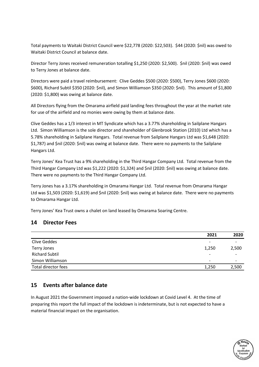Total payments to Waitaki District Council were \$22,778 (2020: \$22,503). \$44 (2020: \$nil) was owed to Waitaki District Council at balance date.

Director Terry Jones received remuneration totalling \$1,250 (2020: \$2,500). \$nil (2020: \$nil) was owed to Terry Jones at balance date.

Directors were paid a travel reimbursement: Clive Geddes \$500 (2020: \$500), Terry Jones \$600 (2020: \$600), Richard Subtil \$350 (2020: \$nil), and Simon Williamson \$350 (2020: \$nil). This amount of \$1,800 (2020: \$1,800) was owing at balance date.

All Directors flying from the Omarama airfield paid landing fees throughout the year at the market rate for use of the airfield and no monies were owing by them at balance date.

Clive Geddes has a 1/3 interest in MT Syndicate which has a 3.77% shareholding in Sailplane Hangars Ltd. Simon Williamson is the sole director and shareholder of Glenbrook Station (2010) Ltd which has a 5.78% shareholding in Sailplane Hangars. Total revenue from Sailplane Hangars Ltd was \$1,648 (2020: \$1,787) and \$nil (2020: \$nil) was owing at balance date. There were no payments to the Sailplane Hangars Ltd.

Terry Jones' Kea Trust has a 9% shareholding in the Third Hangar Company Ltd. Total revenue from the Third Hangar Company Ltd was \$1,222 (2020: \$1,324) and \$nil (2020: \$nil) was owing at balance date. There were no payments to the Third Hangar Company Ltd.

Terry Jones has a 3.17% shareholding in Omarama Hangar Ltd. Total revenue from Omarama Hangar Ltd was \$1,503 (2020: \$1,619) and \$nil (2020: \$nil) was owing at balance date. There were no payments to Omarama Hangar Ltd.

Terry Jones' Kea Trust owns a chalet on land leased by Omarama Soaring Centre.

### **14 Director Fees**

|                       | 2021                     | 2020  |
|-----------------------|--------------------------|-------|
| <b>Clive Geddes</b>   | $\overline{\phantom{0}}$ |       |
| Terry Jones           | 1,250                    | 2,500 |
| <b>Richard Subtil</b> | $\overline{\phantom{0}}$ |       |
| Simon Williamson      | $\overline{\phantom{0}}$ |       |
| Total director fees   | 1,250                    | 2,500 |
|                       |                          |       |

# **15 Events after balance date**

In August 2021 the Government imposed a nation-wide lockdown at Covid Level 4. At the time of preparing this report the full impact of the lockdown is indeterminate, but is not expected to have a material financial impact on the organisation.

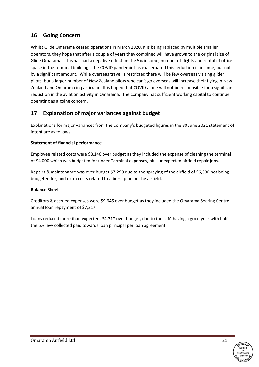# **16 Going Concern**

Whilst Glide Omarama ceased operations in March 2020, it is being replaced by multiple smaller operators, they hope that after a couple of years they combined will have grown to the original size of Glide Omarama. This has had a negative effect on the 5% income, number of flights and rental of office space in the terminal building. The COVID pandemic has exacerbated this reduction in income, but not by a significant amount. While overseas travel is restricted there will be few overseas visiting glider pilots, but a larger number of New Zealand pilots who can't go overseas will increase their flying in New Zealand and Omarama in particular. It is hoped that COVID alone will not be responsible for a significant reduction in the aviation activity in Omarama. The company has sufficient working capital to continue operating as a going concern.

# **17 Explanation of major variances against budget**

Explanations for major variances from the Company's budgeted figures in the 30 June 2021 statement of intent are as follows:

### **Statement of financial performance**

Employee related costs were \$8,146 over budget as they included the expense of cleaning the terminal of \$4,000 which was budgeted for under Terminal expenses, plus unexpected airfield repair jobs.

Repairs & maintenance was over budget \$7,299 due to the spraying of the airfield of \$6,330 not being budgeted for, and extra costs related to a burst pipe on the airfield.

### **Balance Sheet**

Creditors & accrued expenses were \$9,645 over budget as they included the Omarama Soaring Centre annual loan repayment of \$7,217.

Loans reduced more than expected, \$4,717 over budget, due to the café having a good year with half the 5% levy collected paid towards loan principal per loan agreement.

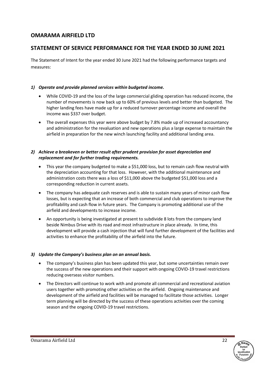# **STATEMENT OF SERVICE PERFORMANCE FOR THE YEAR ENDED 30 JUNE 2021**

The Statement of Intent for the year ended 30 June 2021 had the following performance targets and measures:

### *1) Operate and provide planned services within budgeted income.*

- While COVID-19 and the loss of the large commercial gliding operation has reduced income, the number of movements is now back up to 60% of previous levels and better than budgeted. The higher landing fees have made up for a reduced turnover percentage income and overall the income was \$337 over budget.
- The overall expenses this year were above budget by 7.8% made up of increased accountancy and administration for the revaluation and new operations plus a large expense to maintain the airfield in preparation for the new winch launching facility and additional landing area.

### *2) Achieve a breakeven or better result after prudent provision for asset depreciation and replacement and for further trading requirements.*

- This year the company budgeted to make a \$51,000 loss, but to remain cash flow neutral with the depreciation accounting for that loss. However, with the additional maintenance and administration costs there was a loss of \$11,000 above the budgeted \$51,000 loss and a corresponding reduction in current assets.
- The company has adequate cash reserves and is able to sustain many years of minor cash flow losses, but is expecting that an increase of both commercial and club operations to improve the profitability and cash flow in future years. The Company is promoting additional use of the airfield and developments to increase income.
- An opportunity is being investigated at present to subdivide 8 lots from the company land beside Nimbus Drive with its road and most infrastructure in place already. In time, this development will provide a cash injection that will fund further development of the facilities and activities to enhance the profitability of the airfield into the future.

#### *3) Update the Company's business plan on an annual basis.*

- The company's business plan has been updated this year, but some uncertainties remain over the success of the new operations and their support with ongoing COVID-19 travel restrictions reducing overseas visitor numbers.
- The Directors will continue to work with and promote all commercial and recreational aviation users together with promoting other activities on the airfield. Ongoing maintenance and development of the airfield and facilities will be managed to facilitate those activities. Longer term planning will be directed by the success of these operations activities over the coming season and the ongoing COVID-19 travel restrictions.

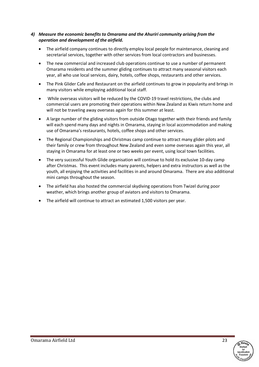### *4) Measure the economic benefits to Omarama and the Ahuriri community arising from the operation and development of the airfield.*

- The airfield company continues to directly employ local people for maintenance, cleaning and secretarial services, together with other services from local contractors and businesses.
- The new commercial and increased club operations continue to use a number of permanent Omarama residents and the summer gliding continues to attract many seasonal visitors each year, all who use local services, dairy, hotels, coffee shops, restaurants and other services.
- The Pink Glider Cafe and Restaurant on the airfield continues to grow in popularity and brings in many visitors while employing additional local staff.
- While overseas visitors will be reduced by the COVID-19 travel restrictions, the clubs and commercial users are promoting their operations within New Zealand as Kiwis return home and will not be traveling away overseas again for this summer at least.
- A large number of the gliding visitors from outside Otago together with their friends and family will each spend many days and nights in Omarama, staying in local accommodation and making use of Omarama's restaurants, hotels, coffee shops and other services.
- The Regional Championships and Christmas camp continue to attract many glider pilots and their family or crew from throughout New Zealand and even some overseas again this year, all staying in Omarama for at least one or two weeks per event, using local town facilities.
- The very successful Youth Glide organisation will continue to hold its exclusive 10-day camp after Christmas. This event includes many parents, helpers and extra instructors as well as the youth, all enjoying the activities and facilities in and around Omarama. There are also additional mini camps throughout the season.
- The airfield has also hosted the commercial skydiving operations from Twizel during poor weather, which brings another group of aviators and visitors to Omarama.
- The airfield will continue to attract an estimated 1,500 visitors per year.

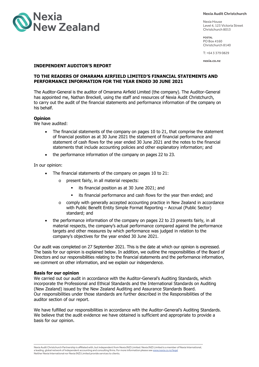

**Nexia Audit Christchurch**

Nexia House Level 4, 123 Victoria Street Christchurch 8013

**POSTAL** PO Box 4160 Christchurch 8140

T: +64 3 379 0829

**nexia.co.nz**

#### **INDEPENDENT AUDITOR'S REPORT**

#### **TO THE READERS OF OMARAMA AIRFIELD LIMITED'S FINANCIAL STATEMENTS AND PERFORMANCE INFORMATION FOR THE YEAR ENDED 30 JUNE 2021**

The Auditor-General is the auditor of Omarama Airfield Limited (the company). The Auditor-General has appointed me, Nathan Breckell, using the staff and resources of Nexia Audit Christchurch, to carry out the audit of the financial statements and performance information of the company on his behalf.

#### **Opinion**

We have audited:

- The financial statements of the company on pages 10 to 21, that comprise the statement of financial position as at 30 June 2021 the statement of financial performance and statement of cash flows for the year ended 30 June 2021 and the notes to the financial statements that include accounting policies and other explanatory information; and
- the performance information of the company on pages 22 to 23.

In our opinion:

- The financial statements of the company on pages 10 to 21:
	- o present fairly, in all material respects:
		- its financial position as at 30 June 2021; and
		- its financial performance and cash flows for the year then ended; and
	- o comply with generally accepted accounting practice in New Zealand in accordance with Public Benefit Entity Simple Format Reporting - Accrual (Public Sector) standard; and
- the performance information of the company on pages 22 to 23 presents fairly, in all material respects, the company's actual performance compared against the performance targets and other measures by which performance was judged in relation to the company's objectives for the year ended 30 June 2021.

Our audit was completed on 27 September 2021. This is the date at which our opinion is expressed. The basis for our opinion is explained below. In addition, we outline the responsibilities of the Board of Directors and our responsibilities relating to the financial statements and the performance information, we comment on other information, and we explain our independence.

#### **Basis for our opinion**

We carried out our audit in accordance with the Auditor-General's Auditing Standards, which incorporate the Professional and Ethical Standards and the International Standards on Auditing (New Zealand) issued by the New Zealand Auditing and Assurance Standards Board. Our responsibilities under those standards are further described in the Responsibilities of the auditor section of our report.

We have fulfilled our responsibilities in accordance with the Auditor-General's Auditing Standards. We believe that the audit evidence we have obtained is sufficient and appropriate to provide a basis for our opinion.

Nexia Audit Christchurch Partnership is affiliated with, but independent from Nexia (NZ) Limited. Nexia (NZ) Limited is a member of Nexia International, a leading, global network of independent accounting and consulting firms. For more information please see <u>www.nexia.co.nz/legal</u><br>Neither Nexia International nor Nexia (NZ) Limited provide services to clients.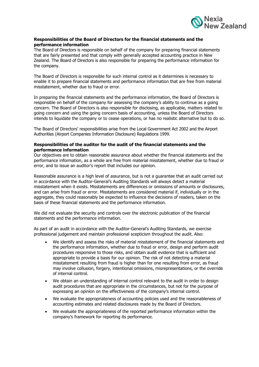

#### **Responsibilities of the Board of Directors for the financial statements and the performance information**

The Board of Directors is responsible on behalf of the company for preparing financial statements that are fairly presented and that comply with generally accepted accounting practice in New Zealand. The Board of Directors is also responsible for preparing the performance information for the company.

The Board of Directors is responsible for such internal control as it determines is necessary to enable it to prepare financial statements and performance information that are free from material misstatement, whether due to fraud or error.

In preparing the financial statements and the performance information, the Board of Directors is responsible on behalf of the company for assessing the company's ability to continue as a going concern. The Board of Directors is also responsible for disclosing, as applicable, matters related to going concern and using the going concern basis of accounting, unless the Board of Directors intends to liquidate the company or to cease operations, or has no realistic alternative but to do so.

The Board of Directors' responsibilities arise from the Local Government Act 2002 and the Airport Authorities (Airport Companies Information Disclosure) Regulations 1999.

#### **Responsibilities of the auditor for the audit of the financial statements and the performance information**

Our objectives are to obtain reasonable assurance about whether the financial statements and the performance information, as a whole are free from material misstatement, whether due to fraud or error, and to issue an auditor's report that includes our opinion.

Reasonable assurance is a high level of assurance, but is not a guarantee that an audit carried out in accordance with the Auditor-General's Auditing Standards will always detect a material misstatement when it exists. Misstatements are differences or omissions of amounts or disclosures, and can arise from fraud or error. Misstatements are considered material if, individually or in the aggregate, they could reasonably be expected to influence the decisions of readers, taken on the basis of these financial statements and the performance information.

We did not evaluate the security and controls over the electronic publication of the financial statements and the performance information.

As part of an audit in accordance with the Auditor-General's Auditing Standards, we exercise professional judgement and maintain professional scepticism throughout the audit. Also:

- We identify and assess the risks of material misstatement of the financial statements and the performance information, whether due to fraud or error, design and perform audit procedures responsive to those risks, and obtain audit evidence that is sufficient and appropriate to provide a basis for our opinion. The risk of not detecting a material misstatement resulting from fraud is higher than for one resulting from error, as fraud may involve collusion, forgery, intentional omissions, misrepresentations, or the override of internal control.
- We obtain an understanding of internal control relevant to the audit in order to design audit procedures that are appropriate in the circumstances, but not for the purpose of expressing an opinion on the effectiveness of the company's internal control.
- We evaluate the appropriateness of accounting policies used and the reasonableness of accounting estimates and related disclosures made by the Board of Directors.
- We evaluate the appropriateness of the reported performance information within the company's framework for reporting its performance.